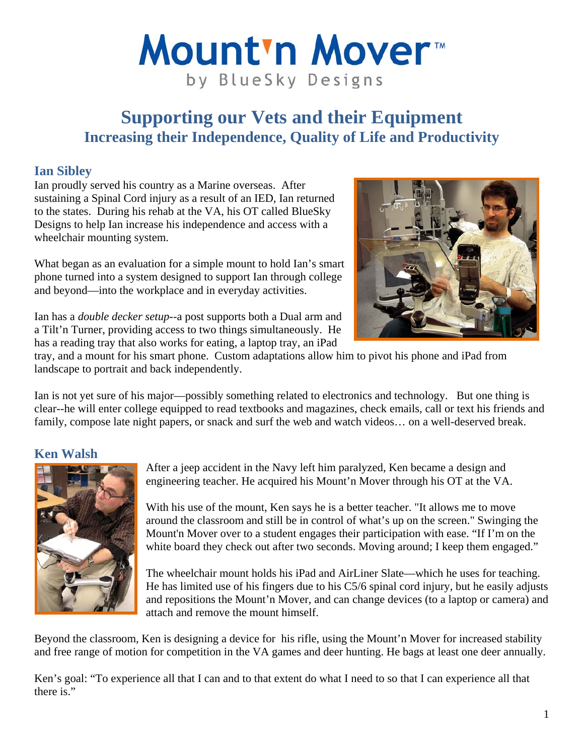# **Mount'n Mover**™ by BlueSky Designs

# **Supporting our Vets and their Equipment Increasing their Independence, Quality of Life and Productivity**

#### **Ian Sibley**

Ian proudly served his country as a Marine overseas. After sustaining a Spinal Cord injury as a result of an IED, Ian returned to the states. During his rehab at the VA, his OT called BlueSky Designs to help Ian increase his independence and access with a wheelchair mounting system.

What began as an evaluation for a simple mount to hold Ian's smart phone turned into a system designed to support Ian through college and beyond—into the workplace and in everyday activities.

Ian has a *double decker setup*--a post supports both a Dual arm and a Tilt'n Turner, providing access to two things simultaneously. He has a reading tray that also works for eating, a laptop tray, an iPad

tray, and a mount for his smart phone. Custom adaptations allow him to pivot his phone and iPad from landscape to portrait and back independently.

Ian is not yet sure of his major—possibly something related to electronics and technology. But one thing is clear--he will enter college equipped to read textbooks and magazines, check emails, call or text his friends and family, compose late night papers, or snack and surf the web and watch videos… on a well-deserved break.

### **Ken Walsh**



After a jeep accident in the Navy left him paralyzed, Ken became a design and engineering teacher. He acquired his Mount'n Mover through his OT at the VA.

With his use of the mount, Ken says he is a better teacher. "It allows me to move around the classroom and still be in control of what's up on the screen." Swinging the Mount'n Mover over to a student engages their participation with ease. "If I'm on the white board they check out after two seconds. Moving around; I keep them engaged."

The wheelchair mount holds his iPad and AirLiner Slate—which he uses for teaching. He has limited use of his fingers due to his C5/6 spinal cord injury, but he easily adjusts and repositions the Mount'n Mover, and can change devices (to a laptop or camera) and attach and remove the mount himself.

Beyond the classroom, Ken is designing a device for his rifle, using the Mount'n Mover for increased stability and free range of motion for competition in the VA games and deer hunting. He bags at least one deer annually.

Ken's goal: "To experience all that I can and to that extent do what I need to so that I can experience all that there is."